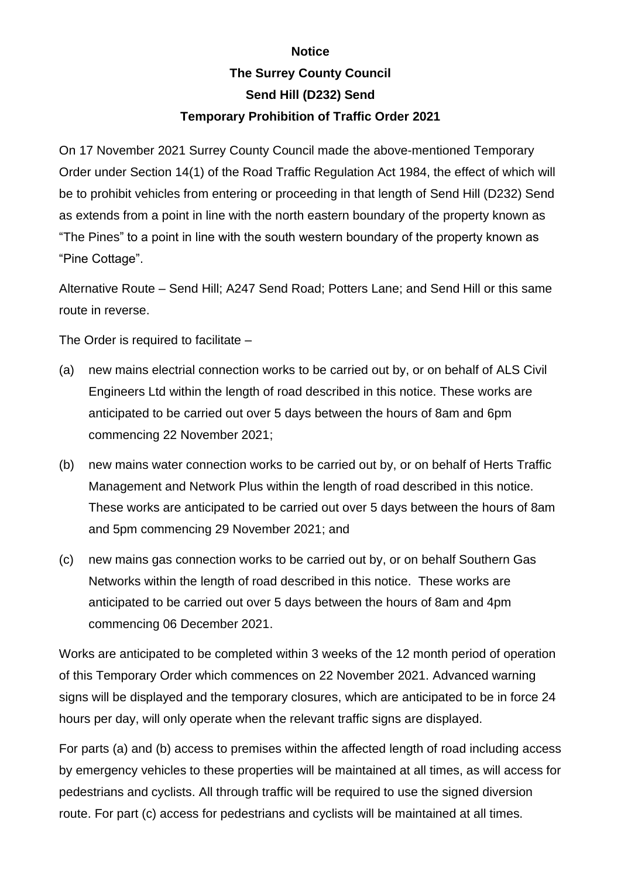## **Notice The Surrey County Council Send Hill (D232) Send**

## **Temporary Prohibition of Traffic Order 2021**

On 17 November 2021 Surrey County Council made the above-mentioned Temporary Order under Section 14(1) of the Road Traffic Regulation Act 1984, the effect of which will be to prohibit vehicles from entering or proceeding in that length of Send Hill (D232) Send as extends from a point in line with the north eastern boundary of the property known as "The Pines" to a point in line with the south western boundary of the property known as "Pine Cottage".

Alternative Route – Send Hill; A247 Send Road; Potters Lane; and Send Hill or this same route in reverse.

The Order is required to facilitate –

- (a) new mains electrial connection works to be carried out by, or on behalf of ALS Civil Engineers Ltd within the length of road described in this notice. These works are anticipated to be carried out over 5 days between the hours of 8am and 6pm commencing 22 November 2021;
- (b) new mains water connection works to be carried out by, or on behalf of Herts Traffic Management and Network Plus within the length of road described in this notice. These works are anticipated to be carried out over 5 days between the hours of 8am and 5pm commencing 29 November 2021; and
- (c) new mains gas connection works to be carried out by, or on behalf Southern Gas Networks within the length of road described in this notice. These works are anticipated to be carried out over 5 days between the hours of 8am and 4pm commencing 06 December 2021.

Works are anticipated to be completed within 3 weeks of the 12 month period of operation of this Temporary Order which commences on 22 November 2021. Advanced warning signs will be displayed and the temporary closures, which are anticipated to be in force 24 hours per day, will only operate when the relevant traffic signs are displayed.

For parts (a) and (b) access to premises within the affected length of road including access by emergency vehicles to these properties will be maintained at all times, as will access for pedestrians and cyclists. All through traffic will be required to use the signed diversion route. For part (c) access for pedestrians and cyclists will be maintained at all times.